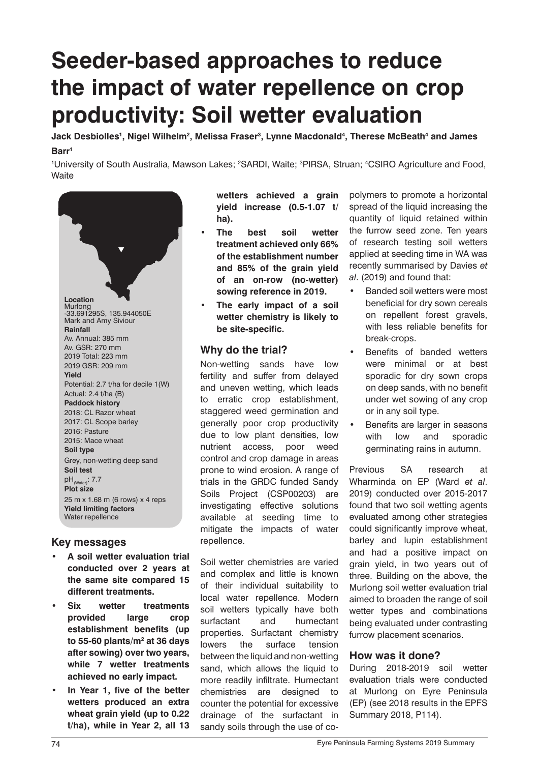# **Seeder-based approaches to reduce the impact of water repellence on crop productivity: Soil wetter evaluation**

 $\,$ Jack Desbiolles', Nigel Wilhelm $^2$ , Melissa Fraser $^3$ , Lynne Macdonald $^4$ , Therese McBeath $^4$  and James **Barr1**

<sup>1</sup>University of South Australia, Mawson Lakes; <sup>2</sup>SARDI, Waite; <sup>3</sup>PIRSA, Struan; <sup>4</sup>CSIRO Agriculture and Food, **Waite** 



## **Key messages**

- **• A soil wetter evaluation trial conducted over 2 years at the same site compared 15 different treatments.**
- **• Six wetter treatments provided large crop establishment benefits (up to 55-60 plants/m2 at 36 days after sowing) over two years, while 7 wetter treatments achieved no early impact.**
- **• In Year 1, five of the better wetters produced an extra wheat grain yield (up to 0.22 t/ha), while in Year 2, all 13**

**wetters achieved a grain yield increase (0.5-1.07 t/ ha).** 

- **• The best soil wetter treatment achieved only 66% of the establishment number and 85% of the grain yield of an on-row (no-wetter) sowing reference in 2019.**
- **• The early impact of a soil wetter chemistry is likely to be site-specific.**

## **Why do the trial?**

Non-wetting sands have low fertility and suffer from delayed and uneven wetting, which leads to erratic crop establishment, staggered weed germination and generally poor crop productivity due to low plant densities, low nutrient access, poor weed control and crop damage in areas prone to wind erosion. A range of trials in the GRDC funded Sandy Soils Project (CSP00203) are investigating effective solutions available at seeding time to mitigate the impacts of water repellence.

Soil wetter chemistries are varied and complex and little is known of their individual suitability to local water repellence. Modern soil wetters typically have both surfactant and humectant properties. Surfactant chemistry lowers the surface tension between the liquid and non-wetting sand, which allows the liquid to more readily infiltrate. Humectant chemistries are designed to counter the potential for excessive drainage of the surfactant in sandy soils through the use of co-

polymers to promote a horizontal spread of the liquid increasing the quantity of liquid retained within the furrow seed zone. Ten years of research testing soil wetters applied at seeding time in WA was recently summarised by Davies *et al*. (2019) and found that:

- Banded soil wetters were most beneficial for dry sown cereals on repellent forest gravels, with less reliable benefits for break-crops.
- Benefits of banded wetters were minimal or at best sporadic for dry sown crops on deep sands, with no benefit under wet sowing of any crop or in any soil type.
- Benefits are larger in seasons with low and sporadic germinating rains in autumn.

Previous SA research at Wharminda on EP (Ward *et al*. 2019) conducted over 2015-2017 found that two soil wetting agents evaluated among other strategies could significantly improve wheat, barley and lupin establishment and had a positive impact on grain yield, in two years out of three. Building on the above, the Murlong soil wetter evaluation trial aimed to broaden the range of soil wetter types and combinations being evaluated under contrasting furrow placement scenarios.

### **How was it done?**

During 2018-2019 soil wetter evaluation trials were conducted at Murlong on Eyre Peninsula (EP) (see 2018 results in the EPFS Summary 2018, P114).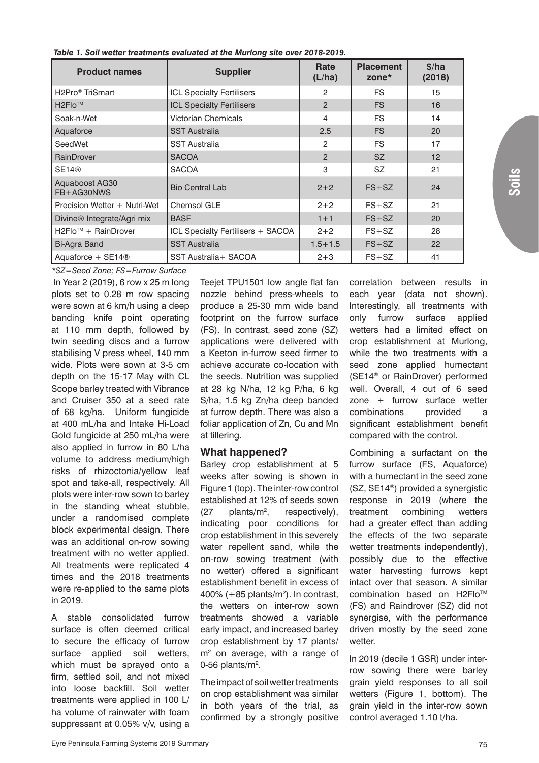| <b>Product names</b>                     | <b>Supplier</b>                   | Rate<br>(L/ha) | <b>Placement</b><br>zone $*$ | \$/ha<br>(2018) |
|------------------------------------------|-----------------------------------|----------------|------------------------------|-----------------|
| H <sub>2</sub> Pro <sup>®</sup> TriSmart | <b>ICL Specialty Fertilisers</b>  | 2              | <b>FS</b>                    | 15              |
| $H2FIO^{TM}$                             | <b>ICL Specialty Fertilisers</b>  | $\mathcal{P}$  | <b>FS</b>                    | 16              |
| Soak-n-Wet                               | Victorian Chemicals               | 4              | <b>FS</b>                    | 14              |
| Aquaforce                                | <b>SST Australia</b>              | 2.5            | <b>FS</b>                    | 20              |
| SeedWet                                  | <b>SST Australia</b>              | 2              | <b>FS</b>                    | 17              |
| RainDrover                               | <b>SACOA</b>                      | $\mathcal{P}$  | <b>SZ</b>                    | 12              |
| SE14@                                    | <b>SACOA</b>                      | 3              | <b>SZ</b>                    | 21              |
| Aquaboost AG30<br>FB+AG30NWS             | <b>Bio Central Lab</b>            | $2 + 2$        | $FS + SZ$                    | 24              |
| Precision Wetter + Nutri-Wet             | Chemsol GLE                       | $2 + 2$        | $FS + SZ$                    | 21              |
| Divine <sup>®</sup> Integrate/Agri mix   | <b>BASF</b>                       | $1 + 1$        | $FS + SZ$                    | 20              |
| H2Flo <sup>™</sup> + RainDrover          | ICL Specialty Fertilisers + SACOA | $2 + 2$        | $FS+SZ$                      | 28              |
| Bi-Agra Band                             | <b>SST Australia</b>              | $1.5 + 1.5$    | $FS + SZ$                    | 22              |
| Aquaforce + $SE14@$                      | SST Australia + SACOA             | $2 + 3$        | $FS + SZ$                    | 41              |

 *Table 1. Soil wetter treatments evaluated at the Murlong site over 2018-2019.*

 In Year 2 (2019), 6 row x 25 m long plots set to 0.28 m row spacing were sown at 6 km/h using a deep banding knife point operating at 110 mm depth, followed by twin seeding discs and a furrow stabilising V press wheel, 140 mm wide. Plots were sown at 3-5 cm depth on the 15-17 May with CL Scope barley treated with Vibrance and Cruiser 350 at a seed rate of 68 kg/ha. Uniform fungicide at 400 mL/ha and Intake Hi-Load Gold fungicide at 250 mL/ha were also applied in furrow in 80 L/ha volume to address medium/high risks of rhizoctonia/yellow leaf spot and take-all, respectively. All plots were inter-row sown to barley in the standing wheat stubble, under a randomised complete block experimental design. There was an additional on-row sowing treatment with no wetter applied. All treatments were replicated 4 times and the 2018 treatments were re-applied to the same plots in 2019. *\*SZ=Seed Zone; FS=Furrow Surface*

A stable consolidated furrow surface is often deemed critical to secure the efficacy of furrow surface applied soil wetters, which must be sprayed onto a firm, settled soil, and not mixed into loose backfill. Soil wetter treatments were applied in 100 L/ ha volume of rainwater with foam suppressant at 0.05% v/v, using a

Teejet TPU1501 low angle flat fan nozzle behind press-wheels to produce a 25-30 mm wide band footprint on the furrow surface (FS). In contrast, seed zone (SZ) applications were delivered with a Keeton in-furrow seed firmer to achieve accurate co-location with the seeds. Nutrition was supplied at 28 kg N/ha, 12 kg P/ha, 6 kg S/ha, 1.5 kg Zn/ha deep banded at furrow depth. There was also a foliar application of Zn, Cu and Mn at tillering.

## **What happened?**

Barley crop establishment at 5 weeks after sowing is shown in Figure 1 (top). The inter-row control established at 12% of seeds sown  $(27$  plants/m<sup>2</sup>. respectively). indicating poor conditions for crop establishment in this severely water repellent sand, while the on-row sowing treatment (with no wetter) offered a significant establishment benefit in excess of 400%  $(+85$  plants/m<sup>2</sup>). In contrast, the wetters on inter-row sown treatments showed a variable early impact, and increased barley crop establishment by 17 plants/ m<sup>2</sup> on average, with a range of 0-56 plants/ $m^2$ .

The impact of soil wetter treatments on crop establishment was similar in both years of the trial, as confirmed by a strongly positive

correlation between results in each year (data not shown). Interestingly, all treatments with only furrow surface applied wetters had a limited effect on crop establishment at Murlong, while the two treatments with a seed zone applied humectant (SE14® or RainDrover) performed well. Overall, 4 out of 6 seed zone + furrow surface wetter combinations provided a significant establishment benefit compared with the control.

Combining a surfactant on the furrow surface (FS, Aquaforce) with a humectant in the seed zone (SZ, SE14®) provided a synergistic response in 2019 (where the treatment combining wetters had a greater effect than adding the effects of the two separate wetter treatments independently), possibly due to the effective water harvesting furrows kept intact over that season. A similar combination based on H2Flo™ (FS) and Raindrover (SZ) did not synergise, with the performance driven mostly by the seed zone wetter.

In 2019 (decile 1 GSR) under interrow sowing there were barley grain yield responses to all soil wetters (Figure 1, bottom). The grain yield in the inter-row sown control averaged 1.10 t/ha.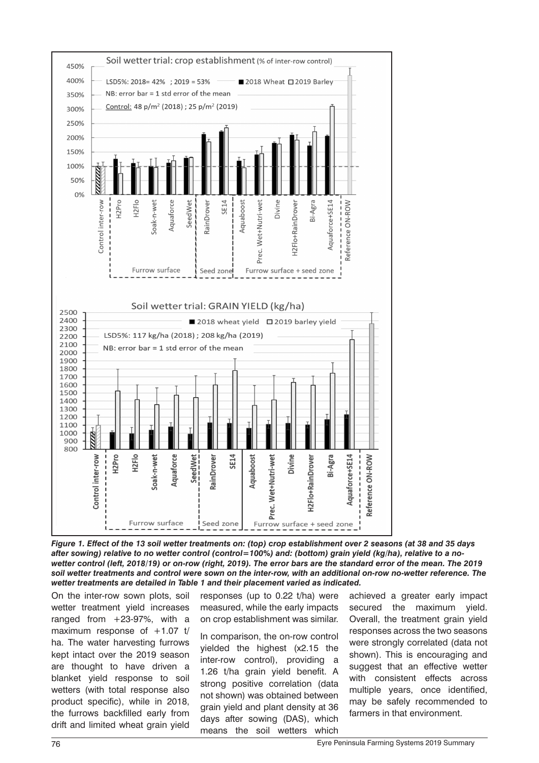

*Figure 1. Effect of the 13 soil wetter treatments on: (top) crop establishment over 2 seasons (at 38 and 35 days after sowing) relative to no wetter control (control=100%) and: (bottom) grain yield (kg/ha), relative to a nowetter control (left, 2018/19) or on-row (right, 2019). The error bars are the standard error of the mean. The 2019 soil wetter treatments and control were sown on the inter-row, with an additional on-row no-wetter reference. The wetter treatments are detailed in Table 1 and their placement varied as indicated.*

On the inter-row sown plots, soil wetter treatment yield increases ranged from  $+23-97%$ , with a maximum response of  $+1.07$  t/ ha. The water harvesting furrows kept intact over the 2019 season are thought to have driven a blanket yield response to soil wetters (with total response also product specific), while in 2018, the furrows backfilled early from drift and limited wheat grain yield

responses (up to 0.22 t/ha) were measured, while the early impacts on crop establishment was similar.

In comparison, the on-row control yielded the highest (x2.15 the inter-row control), providing a 1.26 t/ha grain yield benefit. A strong positive correlation (data not shown) was obtained between grain yield and plant density at 36 days after sowing (DAS), which means the soil wetters which

achieved a greater early impact secured the maximum yield. Overall, the treatment grain yield responses across the two seasons were strongly correlated (data not shown). This is encouraging and suggest that an effective wetter with consistent effects across multiple years, once identified, may be safely recommended to farmers in that environment.